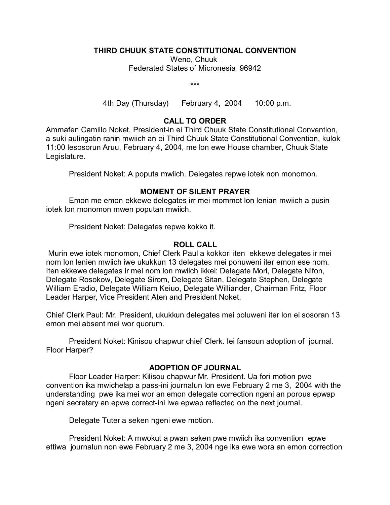### **THIRD CHUUK STATE CONSTITUTIONAL CONVENTION**

Weno, Chuuk Federated States of Micronesia 96942

\*\*\*

4th Day (Thursday) February 4, 2004 10:00 p.m.

# **CALL TO ORDER**

Ammafen Camillo Noket, President-in ei Third Chuuk State Constitutional Convention, a suki aulingatin ranin mwiich an ei Third Chuuk State Constitutional Convention, kulok 11:00 lesosorun Aruu, February 4, 2004, me lon ewe House chamber, Chuuk State Legislature.

President Noket: A poputa mwiich. Delegates repwe iotek non monomon.

## **MOMENT OF SILENT PRAYER**

Emon me emon ekkewe delegates irr mei mommot lon lenian mwiich a pusin iotek lon monomon mwen poputan mwiich.

President Noket: Delegates repwe kokko it.

### **ROLL CALL**

 Murin ewe iotek monomon, Chief Clerk Paul a kokkori iten ekkewe delegates ir mei nom lon lenien mwiich iwe ukukkun 13 delegates mei ponuweni iter emon ese nom. Iten ekkewe delegates ir mei nom lon mwiich ikkei: Delegate Mori, Delegate Nifon, Delegate Rosokow, Delegate Sirom, Delegate Sitan, Delegate Stephen, Delegate William Eradio, Delegate William Keiuo, Delegate Williander, Chairman Fritz, Floor Leader Harper, Vice President Aten and President Noket.

Chief Clerk Paul: Mr. President, ukukkun delegates mei poluweni iter lon ei sosoran 13 emon mei absent mei wor quorum.

President Noket: Kinisou chapwur chief Clerk. Iei fansoun adoption of journal. Floor Harper?

### **ADOPTION OF JOURNAL**

Floor Leader Harper: Kilisou chapwur Mr. President. Ua fori motion pwe convention ika mwichelap a pass-ini journalun lon ewe February 2 me 3, 2004 with the understanding pwe ika mei wor an emon delegate correction ngeni an porous epwap ngeni secretary an epwe correct-ini iwe epwap reflected on the next journal.

Delegate Tuter a seken ngeni ewe motion.

President Noket: A mwokut a pwan seken pwe mwiich ika convention epwe ettiwa journalun non ewe February 2 me 3, 2004 nge ika ewe wora an emon correction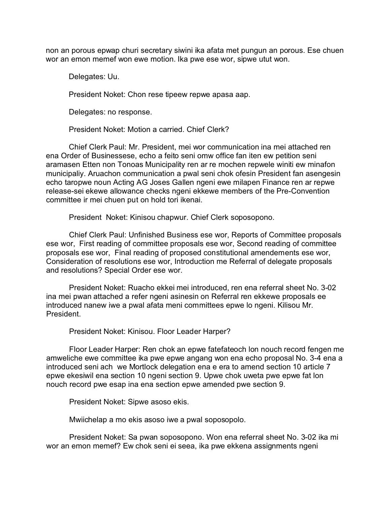non an porous epwap churi secretary siwini ika afata met pungun an porous. Ese chuen wor an emon memef won ewe motion. Ika pwe ese wor, sipwe utut won.

Delegates: Uu.

President Noket: Chon rese tipeew repwe apasa aap.

Delegates: no response.

President Noket: Motion a carried. Chief Clerk?

Chief Clerk Paul: Mr. President, mei wor communication ina mei attached ren ena Order of Businessese, echo a feito seni omw office fan iten ew petition seni aramasen Etten non Tonoas Municipality ren ar re mochen repwele winiti ew minafon municipaliy. Aruachon communication a pwal seni chok ofesin President fan asengesin echo taropwe noun Acting AG Joses Gallen ngeni ewe milapen Finance ren ar repwe release-sei ekewe allowance checks ngeni ekkewe members of the Pre-Convention committee ir mei chuen put on hold tori ikenai.

President Noket: Kinisou chapwur. Chief Clerk soposopono.

Chief Clerk Paul: Unfinished Business ese wor, Reports of Committee proposals ese wor, First reading of committee proposals ese wor, Second reading of committee proposals ese wor, Final reading of proposed constitutional amendements ese wor, Consideration of resolutions ese wor, Introduction me Referral of delegate proposals and resolutions? Special Order ese wor.

President Noket: Ruacho ekkei mei introduced, ren ena referral sheet No. 3-02 ina mei pwan attached a refer ngeni asinesin on Referral ren ekkewe proposals ee introduced nanew iwe a pwal afata meni committees epwe lo ngeni. Kilisou Mr. President.

President Noket: Kinisou. Floor Leader Harper?

Floor Leader Harper: Ren chok an epwe fatefateoch lon nouch record fengen me amweliche ewe committee ika pwe epwe angang won ena echo proposal No. 3-4 ena a introduced seni ach we Mortlock delegation ena e era to amend section 10 article 7 epwe ekesiwil ena section 10 ngeni section 9. Upwe chok uweta pwe epwe fat lon nouch record pwe esap ina ena section epwe amended pwe section 9.

President Noket: Sipwe asoso ekis.

Mwiichelap a mo ekis asoso iwe a pwal soposopolo.

President Noket: Sa pwan soposopono. Won ena referral sheet No. 3-02 ika mi wor an emon memef? Ew chok seni ei seea, ika pwe ekkena assignments ngeni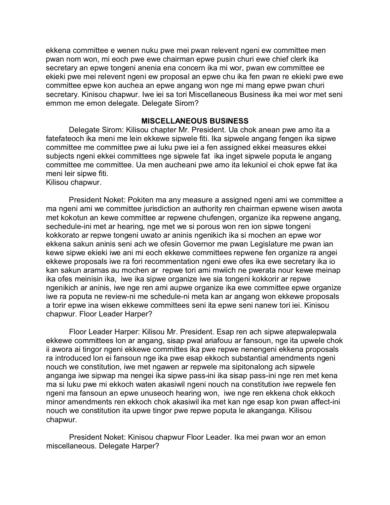ekkena committee e wenen nuku pwe mei pwan relevent ngeni ew committee men pwan nom won, mi eoch pwe ewe chairman epwe pusin churi ewe chief clerk ika secretary an epwe tongeni anenia ena concern ika mi wor, pwan ew committee ee ekieki pwe mei relevent ngeni ew proposal an epwe chu ika fen pwan re ekieki pwe ewe committee epwe kon auchea an epwe angang won nge mi mang epwe pwan churi secretary. Kinisou chapwur. Iwe iei sa tori Miscellaneous Business ika mei wor met seni emmon me emon delegate. Delegate Sirom?

#### **MISCELLANEOUS BUSINESS**

Delegate Sirom: Kilisou chapter Mr. President. Ua chok anean pwe amo ita a fatefateoch ika meni me lein ekkewe sipwele fiti. Ika sipwele angang fengen ika sipwe committee me committee pwe ai luku pwe iei a fen assigned ekkei measures ekkei subjects ngeni ekkei committees nge sipwele fat ika inget sipwele poputa le angang committee me committee. Ua men aucheani pwe amo ita lekuniol ei chok epwe fat ika meni leir sipwe fiti.

Kilisou chapwur.

President Noket: Pokiten ma any measure a assigned ngeni ami we committee a ma ngeni ami we committee jurisdiction an authority ren chairman epwene wisen awota met kokotun an kewe committee ar repwene chufengen, organize ika repwene angang, sechedule-ini met ar hearing, nge met we si porous won ren ion sipwe tongeni kokkorato ar repwe tongeni uwato ar aninis ngenikich ika si mochen an epwe wor ekkena sakun aninis seni ach we ofesin Governor me pwan Legislature me pwan ian kewe sipwe ekieki iwe ani mi eoch ekkewe committees repwene fen organize ra angei ekkewe proposals iwe ra fori recommentation ngeni ewe ofes ika ewe secretary ika io kan sakun aramas au mochen ar repwe tori ami mwiich ne pwerata nour kewe meinap ika ofes meinisin ika, iwe ika sipwe organize iwe sia tongeni kokkorir ar repwe ngenikich ar aninis, iwe nge ren ami aupwe organize ika ewe committee epwe organize iwe ra poputa ne review-ni me schedule-ni meta kan ar angang won ekkewe proposals a torir epwe ina wisen ekkewe committees seni ita epwe seni nanew tori iei. Kinisou chapwur. Floor Leader Harper?

Floor Leader Harper: Kilisou Mr. President. Esap ren ach sipwe atepwalepwala ekkewe committees lon ar angang, sisap pwal ariafouu ar fansoun, nge ita upwele chok ii awora ai tingor ngeni ekkewe committes ika pwe repwe nenengeni ekkena proposals ra introduced lon ei fansoun nge ika pwe esap ekkoch substantial amendments ngeni nouch we constitution, iwe met ngawen ar repwele ma sipitonalong ach sipwele anganga iwe sipwap ma nengei ika sipwe pass-ini ika sisap pass-ini nge ren met kena ma si luku pwe mi ekkoch waten akasiwil ngeni nouch na constitution iwe repwele fen ngeni ma fansoun an epwe unuseoch hearing won, iwe nge ren ekkena chok ekkoch minor amendments ren ekkoch chok akasiwil ika met kan nge esap kon pwan affect-ini nouch we constitution ita upwe tingor pwe repwe poputa le akanganga. Kilisou chapwur.

President Noket: Kinisou chapwur Floor Leader. Ika mei pwan wor an emon miscellaneous. Delegate Harper?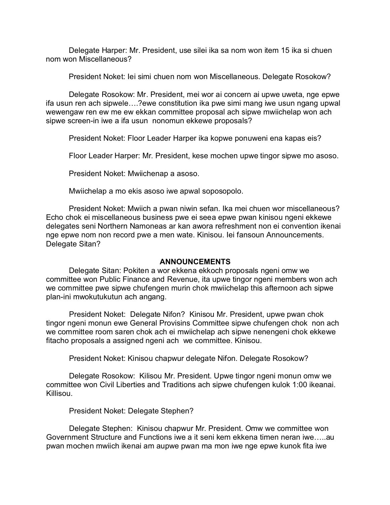Delegate Harper: Mr. President, use silei ika sa nom won item 15 ika si chuen nom won Miscellaneous?

President Noket: Iei simi chuen nom won Miscellaneous. Delegate Rosokow?

Delegate Rosokow: Mr. President, mei wor ai concern ai upwe uweta, nge epwe ifa usun ren ach sipwele….?ewe constitution ika pwe simi mang iwe usun ngang upwal wewengaw ren ew me ew ekkan committee proposal ach sipwe mwiichelap won ach sipwe screen-in iwe a ifa usun nonomun ekkewe proposals?

President Noket: Floor Leader Harper ika kopwe ponuweni ena kapas eis?

Floor Leader Harper: Mr. President, kese mochen upwe tingor sipwe mo asoso.

President Noket: Mwiichenap a asoso.

Mwiichelap a mo ekis asoso iwe apwal soposopolo.

President Noket: Mwiich a pwan niwin sefan. Ika mei chuen wor miscellaneous? Echo chok ei miscellaneous business pwe ei seea epwe pwan kinisou ngeni ekkewe delegates seni Northern Namoneas ar kan awora refreshment non ei convention ikenai nge epwe nom non record pwe a men wate. Kinisou. Iei fansoun Announcements. Delegate Sitan?

### **ANNOUNCEMENTS**

Delegate Sitan: Pokiten a wor ekkena ekkoch proposals ngeni omw we committee won Public Finance and Revenue, ita upwe tingor ngeni members won ach we committee pwe sipwe chufengen murin chok mwiichelap this afternoon ach sipwe plan-ini mwokutukutun ach angang.

President Noket: Delegate Nifon? Kinisou Mr. President, upwe pwan chok tingor ngeni monun ewe General Provisins Committee sipwe chufengen chok non ach we committee room saren chok ach ei mwiichelap ach sipwe nenengeni chok ekkewe fitacho proposals a assigned ngeni ach we committee. Kinisou.

President Noket: Kinisou chapwur delegate Nifon. Delegate Rosokow?

Delegate Rosokow: Kilisou Mr. President. Upwe tingor ngeni monun omw we committee won Civil Liberties and Traditions ach sipwe chufengen kulok 1:00 ikeanai. Killisou.

President Noket: Delegate Stephen?

Delegate Stephen: Kinisou chapwur Mr. President. Omw we committee won Government Structure and Functions iwe a it seni kem ekkena timen neran iwe…..au pwan mochen mwiich ikenai am aupwe pwan ma mon iwe nge epwe kunok fita iwe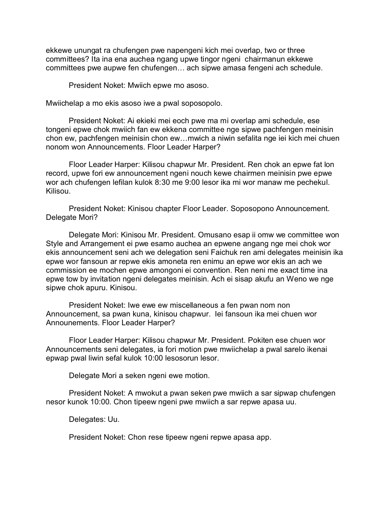ekkewe unungat ra chufengen pwe napengeni kich mei overlap, two or three committees? Ita ina ena auchea ngang upwe tingor ngeni chairmanun ekkewe committees pwe aupwe fen chufengen… ach sipwe amasa fengeni ach schedule.

President Noket: Mwiich epwe mo asoso.

Mwiichelap a mo ekis asoso iwe a pwal soposopolo.

President Noket: Ai ekieki mei eoch pwe ma mi overlap ami schedule, ese tongeni epwe chok mwiich fan ew ekkena committee nge sipwe pachfengen meinisin chon ew, pachfengen meinisin chon ew…mwich a niwin sefalita nge iei kich mei chuen nonom won Announcements. Floor Leader Harper?

Floor Leader Harper: Kilisou chapwur Mr. President. Ren chok an epwe fat lon record, upwe fori ew announcement ngeni nouch kewe chairmen meinisin pwe epwe wor ach chufengen lefilan kulok 8:30 me 9:00 lesor ika mi wor manaw me pechekul. Kilisou.

President Noket: Kinisou chapter Floor Leader. Soposopono Announcement. Delegate Mori?

Delegate Mori: Kinisou Mr. President. Omusano esap ii omw we committee won Style and Arrangement ei pwe esamo auchea an epwene angang nge mei chok wor ekis announcement seni ach we delegation seni Faichuk ren ami delegates meinisin ika epwe wor fansoun ar repwe ekis amoneta ren enimu an epwe wor ekis an ach we commission ee mochen epwe amongoni ei convention. Ren neni me exact time ina epwe tow by invitation ngeni delegates meinisin. Ach ei sisap akufu an Weno we nge sipwe chok apuru. Kinisou.

President Noket: Iwe ewe ew miscellaneous a fen pwan nom non Announcement, sa pwan kuna, kinisou chapwur. Iei fansoun ika mei chuen wor Announements. Floor Leader Harper?

Floor Leader Harper: Kilisou chapwur Mr. President. Pokiten ese chuen wor Announcements seni delegates, ia fori motion pwe mwiichelap a pwal sarelo ikenai epwap pwal liwin sefal kulok 10:00 lesosorun lesor.

Delegate Mori a seken ngeni ewe motion.

President Noket: A mwokut a pwan seken pwe mwiich a sar sipwap chufengen nesor kunok 10:00. Chon tipeew ngeni pwe mwiich a sar repwe apasa uu.

Delegates: Uu.

President Noket: Chon rese tipeew ngeni repwe apasa app.